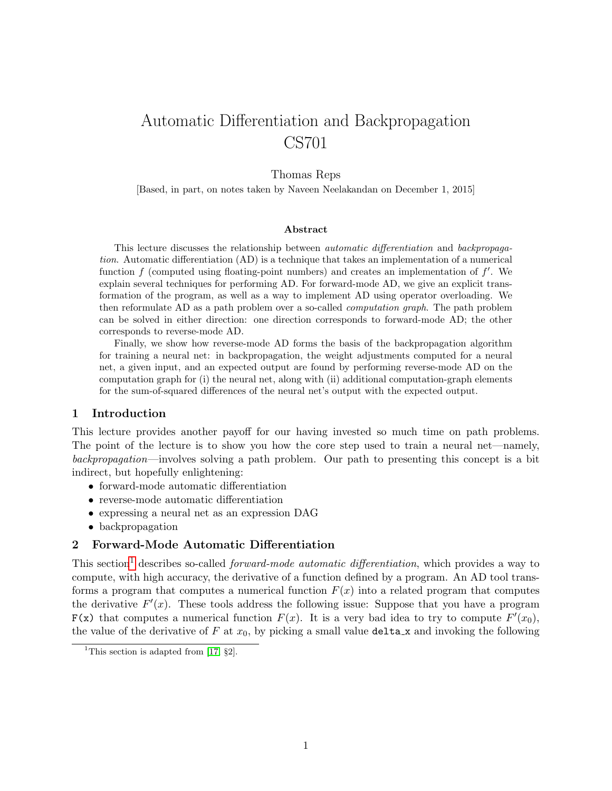# Automatic Differentiation and Backpropagation CS701

# Thomas Reps

[Based, in part, on notes taken by Naveen Neelakandan on December 1, 2015]

#### Abstract

This lecture discusses the relationship between automatic differentiation and backpropagation. Automatic differentiation (AD) is a technique that takes an implementation of a numerical function  $f$  (computed using floating-point numbers) and creates an implementation of  $f'$ . We explain several techniques for performing AD. For forward-mode AD, we give an explicit transformation of the program, as well as a way to implement AD using operator overloading. We then reformulate AD as a path problem over a so-called computation graph. The path problem can be solved in either direction: one direction corresponds to forward-mode AD; the other corresponds to reverse-mode AD.

Finally, we show how reverse-mode AD forms the basis of the backpropagation algorithm for training a neural net: in backpropagation, the weight adjustments computed for a neural net, a given input, and an expected output are found by performing reverse-mode AD on the computation graph for (i) the neural net, along with (ii) additional computation-graph elements for the sum-of-squared differences of the neural net's output with the expected output.

#### 1 Introduction

This lecture provides another payoff for our having invested so much time on path problems. The point of the lecture is to show you how the core step used to train a neural net—namely, backpropagation—involves solving a path problem. Our path to presenting this concept is a bit indirect, but hopefully enlightening:

- forward-mode automatic differentiation
- reverse-mode automatic differentiation
- expressing a neural net as an expression DAG
- backpropagation

# 2 Forward-Mode Automatic Differentiation

This section<sup>[1](#page-0-0)</sup> describes so-called *forward-mode automatic differentiation*, which provides a way to compute, with high accuracy, the derivative of a function defined by a program. An AD tool transforms a program that computes a numerical function  $F(x)$  into a related program that computes the derivative  $F'(x)$ . These tools address the following issue: Suppose that you have a program  $F(x)$  that computes a numerical function  $F(x)$ . It is a very bad idea to try to compute  $F'(x_0)$ , the value of the derivative of F at  $x_0$ , by picking a small value delta x and invoking the following

<span id="page-0-0"></span><sup>&</sup>lt;sup>1</sup>This section is adapted from [\[17,](#page-15-0)  $\S$ 2].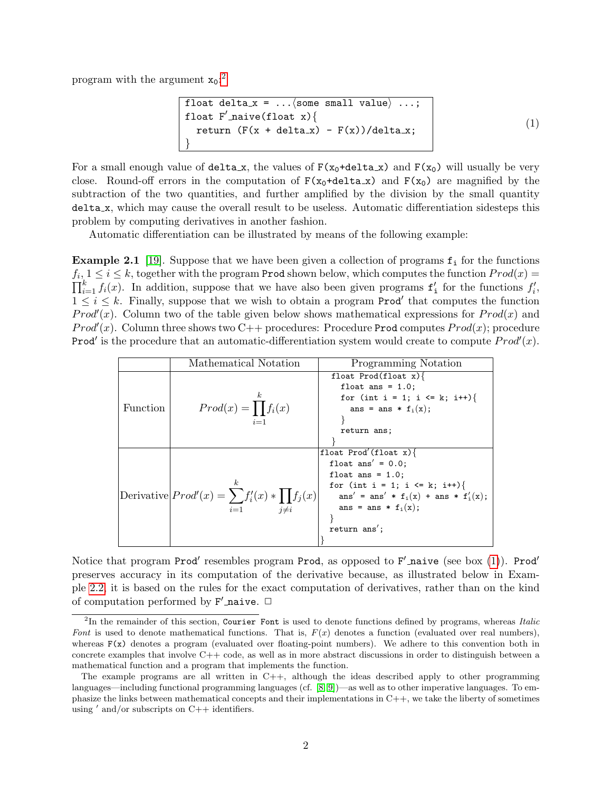program with the argument  $x_0$ :<sup>[2](#page-1-0)</sup>

<span id="page-1-1"></span>
```
\nfloat delta_x = ... \n
$$
\left\{\n \begin{array}{c}\n \text{float } F' \text{naive}(\text{float } x) {\n \end{array}\n \right\}\n \left\{\n \begin{array}{c}\n \text{return } (F(x + delta_x) - F(x))/delta_x;\n \end{array}\n \right\}
$$
\n(1)\n
```

For a small enough value of delta x, the values of  $F(x_0 + delta_x)$  and  $F(x_0)$  will usually be very close. Round-off errors in the computation of  $F(x_0 + \text{delta } x)$  and  $F(x_0)$  are magnified by the subtraction of the two quantities, and further amplified by the division by the small quantity delta x, which may cause the overall result to be useless. Automatic differentiation sidesteps this problem by computing derivatives in another fashion.

Automatic differentiation can be illustrated by means of the following example:

<span id="page-1-2"></span>**Example 2.1** [\[19\]](#page-15-1). Suppose that we have been given a collection of programs  $f_i$  for the functions  $f_i, 1 \leq i \leq k$ , together with the program Prod shown below, which computes the function  $Prod(x)$  $\prod_{i=1}^k f_i(x)$ . In addition, suppose that we have also been given programs  $f'_i$  for the functions  $f'_i$ ,  $1 \leq i \leq k$ . Finally, suppose that we wish to obtain a program Prod' that computes the function *Prod'(x)*. Column two of the table given below shows mathematical expressions for  $Prod(x)$  and *Prod'(x)*. Column three shows two C++ procedures: Procedure Prod computes  $Prod(x)$ ; procedure **Prod'** is the procedure that an automatic-differentiation system would create to compute  $Prod'(x)$ .

|          | Mathematical Notation                                                   | Programming Notation                       |
|----------|-------------------------------------------------------------------------|--------------------------------------------|
|          |                                                                         | float $Prod(flast x)$                      |
|          |                                                                         | float ans = $1.0$ ;                        |
|          | $\boldsymbol{k}$                                                        | for (int i = 1; i <= k; i++){              |
| Function | $Prod(x) = \prod f_i(x)$<br>$i=1$                                       | ans = ans $*$ f <sub>i</sub> (x);          |
|          |                                                                         |                                            |
|          |                                                                         | return ans;                                |
|          |                                                                         |                                            |
|          |                                                                         | float Prod'(float $x$ ){                   |
|          | $\boldsymbol{k}$<br>Derivative $Prod'(x) = \sum f'_i(x) * \prod f_j(x)$ | float ans' = $0.0$ ;                       |
|          |                                                                         | float ans = $1.0$ ;                        |
|          |                                                                         | for (int i = 1; i <= k; i++){              |
|          |                                                                         | ans' = ans' * $f_i(x)$ + ans * $f'_i(x)$ ; |
|          | $i\neq i$<br>$i=1$                                                      | ans = ans * $f_i(x)$ ;                     |
|          |                                                                         |                                            |
|          |                                                                         | return ans';                               |
|          |                                                                         |                                            |

Notice that program Prod' resembles program Prod, as opposed to  $F'$  naive (see box [\(1\)](#page-1-1)). Prod' preserves accuracy in its computation of the derivative because, as illustrated below in Example [2.2,](#page-2-0) it is based on the rules for the exact computation of derivatives, rather than on the kind of computation performed by  $F'$  naive.  $\Box$ 

<span id="page-1-0"></span> ${}^{2}$ In the remainder of this section, Courier Font is used to denote functions defined by programs, whereas Italic Font is used to denote mathematical functions. That is,  $F(x)$  denotes a function (evaluated over real numbers), whereas  $F(x)$  denotes a program (evaluated over floating-point numbers). We adhere to this convention both in concrete examples that involve C++ code, as well as in more abstract discussions in order to distinguish between a mathematical function and a program that implements the function.

The example programs are all written in C++, although the ideas described apply to other programming languages—including functional programming languages (cf. [\[8,](#page-15-2) [9\]](#page-15-3))—as well as to other imperative languages. To emphasize the links between mathematical concepts and their implementations in  $C++$ , we take the liberty of sometimes using  $'$  and/or subscripts on  $C++$  identifiers.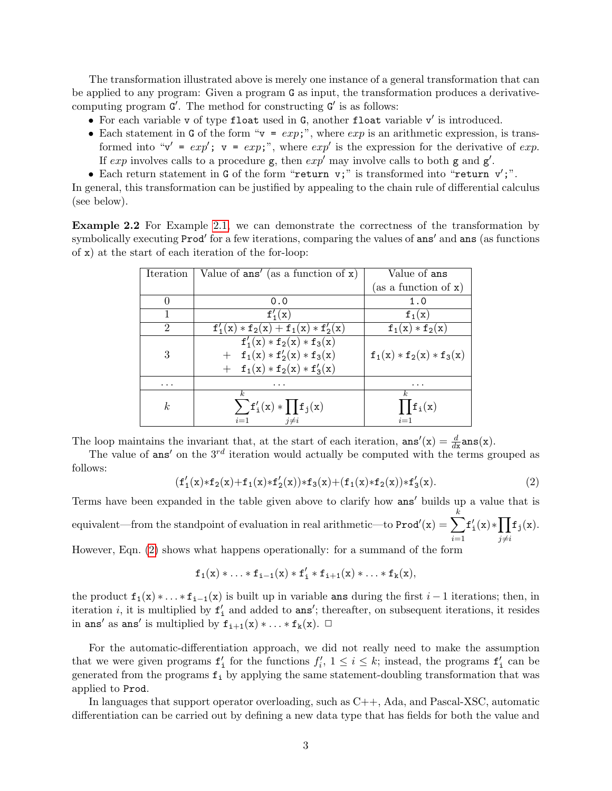The transformation illustrated above is merely one instance of a general transformation that can be applied to any program: Given a program G as input, the transformation produces a derivativecomputing program  $G'$ . The method for constructing  $G'$  is as follows:

- $\bullet$  For each variable v of type float used in G, another float variable v' is introduced.
- Each statement in G of the form " $v = exp;$ ", where  $exp$  is an arithmetic expression, is transformed into " $v' = exp'$ ;  $v = exp;$ ", where  $exp'$  is the expression for the derivative of  $exp$ . If exp involves calls to a procedure  $g$ , then  $exp'$  may involve calls to both g and  $g'$ .
- Each return statement in G of the form "return v;" is transformed into "return v';".

In general, this transformation can be justified by appealing to the chain rule of differential calculus (see below).

<span id="page-2-0"></span>Example 2.2 For Example [2.1,](#page-1-2) we can demonstrate the correctness of the transformation by symbolically executing Prod' for a few iterations, comparing the values of ans' and ans (as functions of x) at the start of each iteration of the for-loop:

| Iteration | Value of $ans'$ (as a function of $x$ ) | Value of ans               |
|-----------|-----------------------------------------|----------------------------|
|           |                                         | (as a function of x)       |
|           | 0.0                                     | 1.0                        |
|           | $f'_{1}(x)$                             | $f_1(x)$                   |
| 2         | $f'_1(x) * f_2(x) + f_1(x) * f'_2(x)$   | $f_1(x) * f_2(x)$          |
|           | $f'_1(x) * f_2(x) * f_3(x)$             |                            |
| 3         | $+ f_1(x) * f'_2(x) * f_3(x)$           | $f_1(x) * f_2(x) * f_3(x)$ |
|           | $+ f_1(x) * f_2(x) * f'_3(x)$           |                            |
| $\cdots$  |                                         | .                          |
|           | k.                                      | k.                         |
| k         | $\sum f'_i(x) * \prod f_j(x)$           | $\prod f_i(x)$             |
|           | $i=1$<br>$i\neq i$                      | $i=1$                      |

The loop maintains the invariant that, at the start of each iteration,  $\text{ans}'(x) = \frac{d}{dx} \text{ans}(x)$ .

The value of ans' on the  $3^{rd}$  iteration would actually be computed with the terms grouped as follows:

<span id="page-2-1"></span>
$$
(f_1'(x)*f_2(x)+f_1(x)*f_2'(x))*f_3(x)+(f_1(x)*f_2(x))*f_3'(x).
$$
 (2)

Terms have been expanded in the table given above to clarify how ans' builds up a value that is equivalent—from the standpoint of evaluation in real arithmetic—to  $\text{Prod}'(\mathbf{x}) = \sum$ k  $i=1$  $f'_{i}(x) * \prod$  $j\neq i$  $f_j(x)$ .

However, Eqn. [\(2\)](#page-2-1) shows what happens operationally: for a summand of the form

$$
\mathtt{f}_1(x)*\ldots*\mathtt{f}_{i-1}(x)*\mathtt{f}'_i*\mathtt{f}_{i+1}(x)*\ldots*\mathtt{f}_k(x),
$$

the product  $f_1(x) * ... * f_{i-1}(x)$  is built up in variable ans during the first  $i-1$  iterations; then, in iteration *i*, it is multiplied by  $f'_{i}$  and added to ans'; thereafter, on subsequent iterations, it resides in ans' as ans' is multiplied by  $f_{i+1}(x) * ... * f_k(x)$ .  $\Box$ 

For the automatic-differentiation approach, we did not really need to make the assumption that we were given programs  $f'_i$  for the functions  $f'_i$ ,  $1 \leq i \leq k$ ; instead, the programs  $f'_i$  can be generated from the programs  $f_i$  by applying the same statement-doubling transformation that was applied to Prod.

In languages that support operator overloading, such as C++, Ada, and Pascal-XSC, automatic differentiation can be carried out by defining a new data type that has fields for both the value and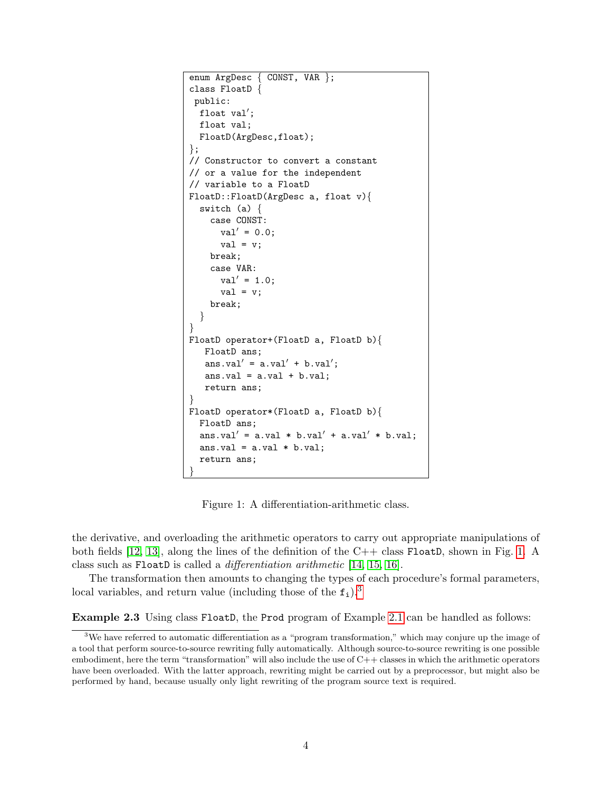```
enum ArgDesc { CONST, VAR };
class FloatD {
 public:
  float val';
  float val;
  FloatD(ArgDesc,float);
\};
// Constructor to convert a constant
// or a value for the independent
// variable to a FloatD
FloatD::FloatD(ArgDesc a, float v){
  switch (a) {
    case CONST:
      val' = 0.0;
      val = v;
    break;
    case VAR:
      val' = 1.0;val = v;break;
  }
}
FloatD operator+(FloatD a, FloatD b){
   FloatD ans;
   ans.val' = a.va1' + b.va1';
   ans.val = a.va1 + b.va1;
   return ans;
}
FloatD operator*(FloatD a, FloatD b){
  FloatD ans;
  ans.val' = a.val * b.val' + a.val' * b.val;
  ans.val = a.va1 * b.va1;
  return ans;
}
```
<span id="page-3-0"></span>Figure 1: A differentiation-arithmetic class.

the derivative, and overloading the arithmetic operators to carry out appropriate manipulations of both fields  $[12, 13]$  $[12, 13]$ , along the lines of the definition of the C++ class FloatD, shown in Fig. [1.](#page-3-0) A class such as FloatD is called a differentiation arithmetic [\[14,](#page-15-6) [15,](#page-15-7) [16\]](#page-15-8).

The transformation then amounts to changing the types of each procedure's formal parameters, local variables, and return value (including those of the  $f_i$ ).<sup>[3](#page-3-1)</sup>

<span id="page-3-2"></span>Example 2.3 Using class FloatD, the Prod program of Example [2.1](#page-1-2) can be handled as follows:

<span id="page-3-1"></span><sup>3</sup>We have referred to automatic differentiation as a "program transformation," which may conjure up the image of a tool that perform source-to-source rewriting fully automatically. Although source-to-source rewriting is one possible embodiment, here the term "transformation" will also include the use of C++ classes in which the arithmetic operators have been overloaded. With the latter approach, rewriting might be carried out by a preprocessor, but might also be performed by hand, because usually only light rewriting of the program source text is required.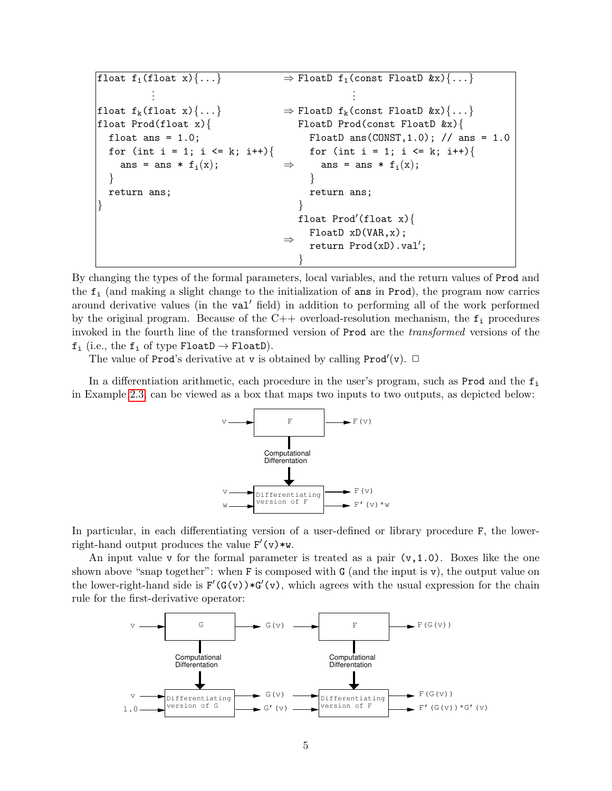$\begin{array}{rcl} \texttt{float f_1(float x)}\{\dots\} & \rightarrow \texttt{FloatD f_1(const \; floatD \; \&x)}\{\dots\} \end{array}$ . . . . . . float  $f_k(f$ loat  $x)$ {...}  $\Rightarrow$  FloatD  $f_k$ (const FloatD  $kx)$ {...} float Prod(float x){ float ans  $= 1.0$ ; for (int i = 1; i <= k; i++){ ans = ans  $*$   $f_i(x)$ ; } return ans; } ⇒ FloatD Prod(const FloatD &x){ FloatD ans( $CONF, 1.0$ ); // ans = 1.0 for (int i = 1; i <= k; i++){ ans = ans  $*$   $f_i(x)$ ; } return ans; } ⇒ float Prod'(float x) $\{$ FloatD xD(VAR,x); return  $Prod(xD) .val'$ ; }

By changing the types of the formal parameters, local variables, and the return values of Prod and the  $f_i$  (and making a slight change to the initialization of ans in Prod), the program now carries around derivative values (in the val<sup>t</sup> field) in addition to performing all of the work performed by the original program. Because of the  $C++$  overload-resolution mechanism, the  $f_i$  procedures invoked in the fourth line of the transformed version of Prod are the transformed versions of the  $f_i$  (i.e., the  $f_i$  of type FloatD  $\rightarrow$  FloatD).

The value of Prod's derivative at v is obtained by calling  $\text{Prod}'(\mathbf{v})$ .  $\Box$ 

In a differentiation arithmetic, each procedure in the user's program, such as Prod and the  $f_i$ in Example [2.3,](#page-3-2) can be viewed as a box that maps two inputs to two outputs, as depicted below:



In particular, in each differentiating version of a user-defined or library procedure F, the lowerright-hand output produces the value  $F'(v) * w$ .

An input value v for the formal parameter is treated as a pair  $(v,1.0)$ . Boxes like the one shown above "snap together": when F is composed with G (and the input is v), the output value on the lower-right-hand side is  $F'(G(v)) * G'(v)$ , which agrees with the usual expression for the chain rule for the first-derivative operator:

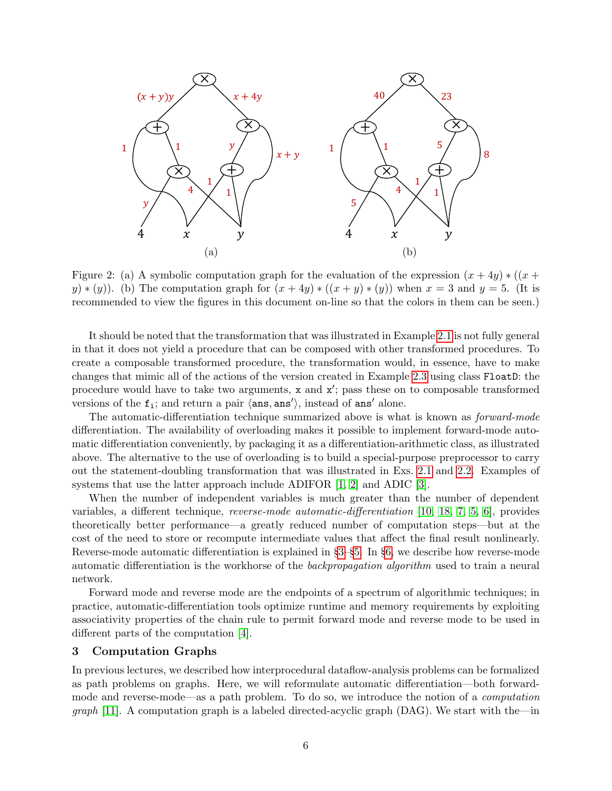

<span id="page-5-1"></span>Figure 2: (a) A symbolic computation graph for the evaluation of the expression  $(x + 4y) * ((x +$ y)  $*(y)$ . (b) The computation graph for  $(x+4y) * ((x+y) * (y))$  when  $x = 3$  and  $y = 5$ . (It is recommended to view the figures in this document on-line so that the colors in them can be seen.)

It should be noted that the transformation that was illustrated in Example [2.1](#page-1-2) is not fully general in that it does not yield a procedure that can be composed with other transformed procedures. To create a composable transformed procedure, the transformation would, in essence, have to make changes that mimic all of the actions of the version created in Example [2.3](#page-3-2) using class FloatD: the procedure would have to take two arguments,  $x$  and  $x'$ ; pass these on to composable transformed versions of the  $f_i$ ; and return a pair  $\langle ans, ans'\rangle$ , instead of ans' alone.

The automatic-differentiation technique summarized above is what is known as *forward-mode* differentiation. The availability of overloading makes it possible to implement forward-mode automatic differentiation conveniently, by packaging it as a differentiation-arithmetic class, as illustrated above. The alternative to the use of overloading is to build a special-purpose preprocessor to carry out the statement-doubling transformation that was illustrated in Exs. [2.1](#page-1-2) and [2.2.](#page-2-0) Examples of systems that use the latter approach include ADIFOR [\[1,](#page-15-9) [2\]](#page-15-10) and ADIC [\[3\]](#page-15-11).

When the number of independent variables is much greater than the number of dependent variables, a different technique, reverse-mode automatic-differentiation [\[10,](#page-15-12) [18,](#page-15-13) [7,](#page-15-14) [5,](#page-15-15) [6\]](#page-15-16), provides theoretically better performance—a greatly reduced number of computation steps—but at the cost of the need to store or recompute intermediate values that affect the final result nonlinearly. Reverse-mode automatic differentiation is explained in §[3–](#page-5-0)§[5.](#page-10-0) In §[6,](#page-11-0) we describe how reverse-mode automatic differentiation is the workhorse of the backpropagation algorithm used to train a neural network.

Forward mode and reverse mode are the endpoints of a spectrum of algorithmic techniques; in practice, automatic-differentiation tools optimize runtime and memory requirements by exploiting associativity properties of the chain rule to permit forward mode and reverse mode to be used in different parts of the computation [\[4\]](#page-15-17).

#### <span id="page-5-0"></span>3 Computation Graphs

In previous lectures, we described how interprocedural dataflow-analysis problems can be formalized as path problems on graphs. Here, we will reformulate automatic differentiation—both forwardmode and reverse-mode—as a path problem. To do so, we introduce the notion of a computation *graph* [\[11\]](#page-15-18). A computation graph is a labeled directed-acyclic graph (DAG). We start with the—in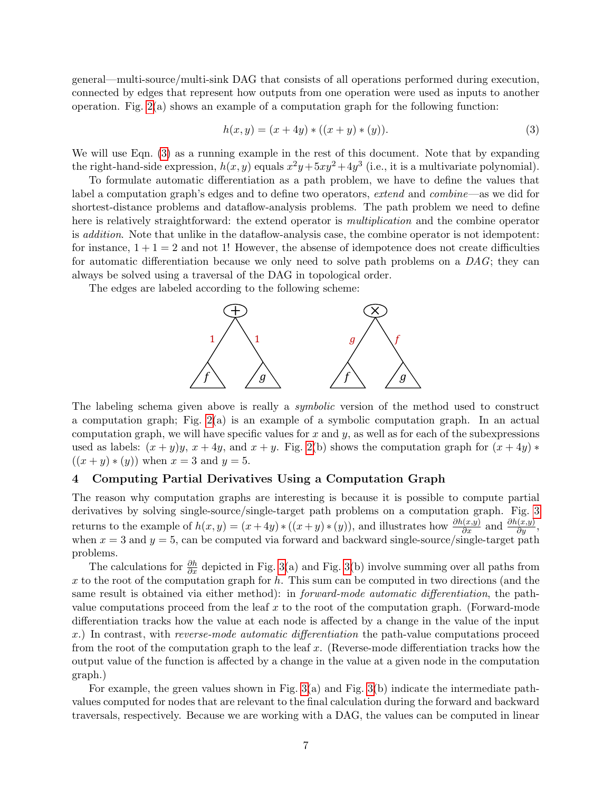general—multi-source/multi-sink DAG that consists of all operations performed during execution, connected by edges that represent how outputs from one operation were used as inputs to another operation. Fig. [2\(](#page-5-1)a) shows an example of a computation graph for the following function:

<span id="page-6-0"></span>
$$
h(x, y) = (x + 4y) * ((x + y) * (y)).
$$
\n(3)

We will use Eqn. [\(3\)](#page-6-0) as a running example in the rest of this document. Note that by expanding the right-hand-side expression,  $h(x, y)$  equals  $x^2y + 5xy^2 + 4y^3$  (i.e., it is a multivariate polynomial).

To formulate automatic differentiation as a path problem, we have to define the values that label a computation graph's edges and to define two operators, extend and combine—as we did for shortest-distance problems and dataflow-analysis problems. The path problem we need to define here is relatively straightforward: the extend operator is *multiplication* and the combine operator is *addition*. Note that unlike in the dataflow-analysis case, the combine operator is not idempotent: for instance,  $1 + 1 = 2$  and not 1! However, the absense of idempotence does not create difficulties for automatic differentiation because we only need to solve path problems on a DAG; they can always be solved using a traversal of the DAG in topological order.

The edges are labeled according to the following scheme:



The labeling schema given above is really a *symbolic* version of the method used to construct a computation graph; Fig. [2\(](#page-5-1)a) is an example of a symbolic computation graph. In an actual computation graph, we will have specific values for x and y, as well as for each of the subexpressions used as labels:  $(x + y)y$ ,  $x + 4y$ , and  $x + y$ . Fig. [2\(](#page-5-1)b) shows the computation graph for  $(x + 4y)$  \*  $((x + y) * (y))$  when  $x = 3$  and  $y = 5$ .

## 4 Computing Partial Derivatives Using a Computation Graph

The reason why computation graphs are interesting is because it is possible to compute partial derivatives by solving single-source/single-target path problems on a computation graph. Fig. [3](#page-7-0) returns to the example of  $h(x,y) = (x+4y) * ((x+y)*(y))$ , and illustrates how  $\frac{\partial h(x,y)}{\partial x}$  and  $\frac{\partial h(x,y)}{\partial y}$ , when  $x = 3$  and  $y = 5$ , can be computed via forward and backward single-source/single-target path problems.

The calculations for  $\frac{\partial h}{\partial x}$  depicted in Fig. [3\(](#page-7-0)a) and Fig. 3(b) involve summing over all paths from x to the root of the computation graph for  $h$ . This sum can be computed in two directions (and the same result is obtained via either method): in *forward-mode automatic differentiation*, the pathvalue computations proceed from the leaf  $x$  to the root of the computation graph. (Forward-mode differentiation tracks how the value at each node is affected by a change in the value of the input x.) In contrast, with *reverse-mode automatic differentiation* the path-value computations proceed from the root of the computation graph to the leaf  $x$ . (Reverse-mode differentiation tracks how the output value of the function is affected by a change in the value at a given node in the computation graph.)

For example, the green values shown in Fig. [3\(](#page-7-0)a) and Fig. [3\(](#page-7-0)b) indicate the intermediate pathvalues computed for nodes that are relevant to the final calculation during the forward and backward traversals, respectively. Because we are working with a DAG, the values can be computed in linear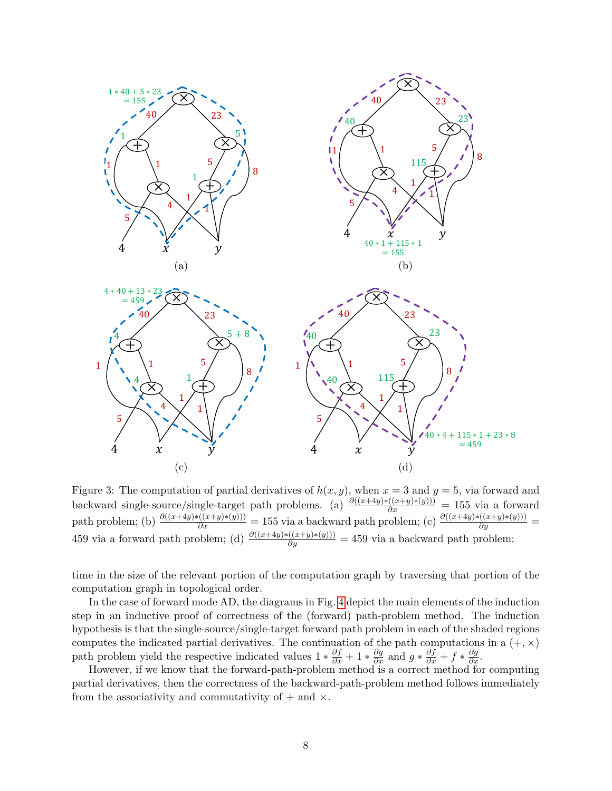

<span id="page-7-0"></span>Figure 3: The computation of partial derivatives of  $h(x, y)$ , when  $x = 3$  and  $y = 5$ , via forward and backward single-source/single-target path problems. (a)  $\frac{\partial((x+4y)*(x+y)(y))}{\partial x} = 155$  via a forward path problem; (b)  $\frac{\partial((x+4y)*( (x+y)*(y)))}{\partial x} = 155$  via a backward path problem; (c)  $\frac{\partial((x+4y)*( (x+y)*(y)))}{\partial y} =$ 459 via a forward path problem; (d)  $\frac{\partial((x+4y)*( (x+y)*(y)))}{\partial y} = 459$  via a backward path problem;

time in the size of the relevant portion of the computation graph by traversing that portion of the computation graph in topological order.

In the case of forward mode AD, the diagrams in Fig. [4](#page-8-0) depict the main elements of the induction step in an inductive proof of correctness of the (forward) path-problem method. The induction hypothesis is that the single-source/single-target forward path problem in each of the shaded regions computes the indicated partial derivatives. The continuation of the path computations in a  $(+, \times)$ path problem yield the respective indicated values  $1 * \frac{\partial f}{\partial x} + 1 * \frac{\partial g}{\partial x}$  and  $g * \frac{\partial f}{\partial x} + f * \frac{\partial g}{\partial x}$ .

However, if we know that the forward-path-problem method is a correct method for computing partial derivatives, then the correctness of the backward-path-problem method follows immediately from the associativity and commutativity of  $+$  and  $\times$ .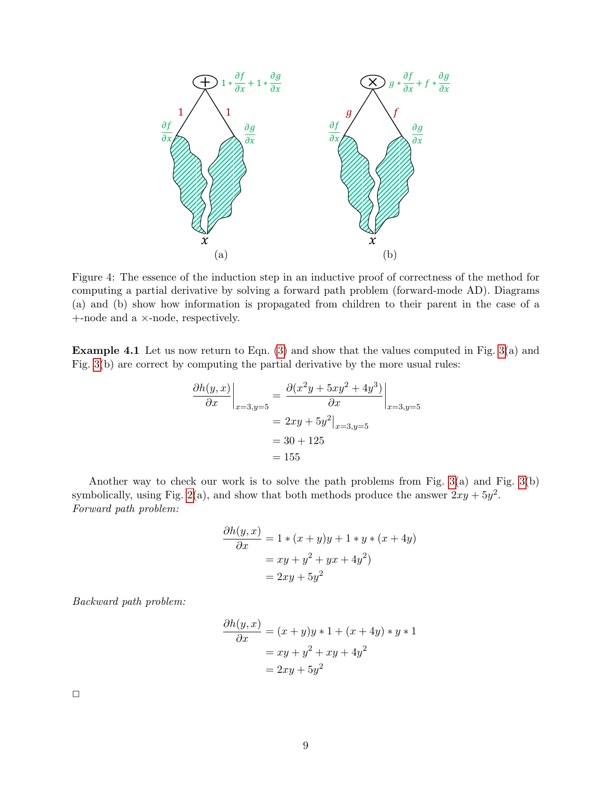

<span id="page-8-0"></span>Figure 4: The essence of the induction step in an inductive proof of correctness of the method for computing a partial derivative by solving a forward path problem (forward-mode AD). Diagrams (a) and (b) show how information is propagated from children to their parent in the case of a +-node and a ×-node, respectively.

**Example 4.1** Let us now return to Eqn.  $(3)$  and show that the values computed in Fig.  $3(a)$  and Fig. [3\(](#page-7-0)b) are correct by computing the partial derivative by the more usual rules:

$$
\frac{\partial h(y, x)}{\partial x}\Big|_{x=3, y=5} = \frac{\partial (x^2y + 5xy^2 + 4y^3)}{\partial x}\Big|_{x=3, y=5}
$$
  
= 2xy + 5y<sup>2</sup>|<sub>x=3, y=5</sub>  
= 30 + 125  
= 155

Another way to check our work is to solve the path problems from Fig. [3\(](#page-7-0)a) and Fig. [3\(](#page-7-0)b) symbolically, using Fig. [2\(](#page-5-1)a), and show that both methods produce the answer  $2xy + 5y^2$ . Forward path problem:

$$
\frac{\partial h(y,x)}{\partial x} = 1 * (x + y)y + 1 * y * (x + 4y)
$$

$$
= xy + y^2 + yx + 4y^2)
$$

$$
= 2xy + 5y^2
$$

Backward path problem:

$$
\frac{\partial h(y,x)}{\partial x} = (x+y)y*1 + (x+4y)*y*1
$$

$$
= xy + y^2 + xy + 4y^2
$$

$$
= 2xy + 5y^2
$$

 $\Box$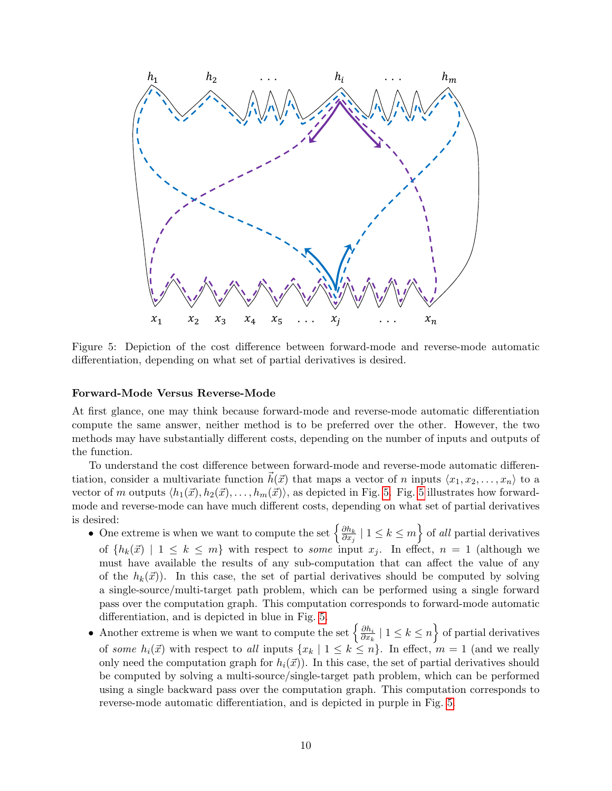

<span id="page-9-0"></span>Figure 5: Depiction of the cost difference between forward-mode and reverse-mode automatic differentiation, depending on what set of partial derivatives is desired.

### Forward-Mode Versus Reverse-Mode

At first glance, one may think because forward-mode and reverse-mode automatic differentiation compute the same answer, neither method is to be preferred over the other. However, the two methods may have substantially different costs, depending on the number of inputs and outputs of the function.

To understand the cost difference between forward-mode and reverse-mode automatic differentiation, consider a multivariate function  $\vec{h}(\vec{x})$  that maps a vector of n inputs  $\langle x_1, x_2, \ldots, x_n \rangle$  to a vector of m outputs  $\langle h_1(\vec{x}), h_2(\vec{x}), \ldots, h_m(\vec{x})\rangle$ , as depicted in Fig. [5.](#page-9-0) Fig. [5](#page-9-0) illustrates how forwardmode and reverse-mode can have much different costs, depending on what set of partial derivatives is desired:

- One extreme is when we want to compute the set  $\left\{\frac{\partial h_k}{\partial x_i}\right\}$  $\left\{\frac{\partial h_k}{\partial x_j} \mid 1 \leq k \leq m\right\}$  of all partial derivatives of  $\{h_k(\vec{x}) \mid 1 \leq k \leq m\}$  with respect to some input  $x_i$ . In effect,  $n = 1$  (although we must have available the results of any sub-computation that can affect the value of any of the  $h_k(\vec{x})$ . In this case, the set of partial derivatives should be computed by solving a single-source/multi-target path problem, which can be performed using a single forward pass over the computation graph. This computation corresponds to forward-mode automatic differentiation, and is depicted in blue in Fig. [5.](#page-9-0)
- Another extreme is when we want to compute the set  $\left\{\frac{\partial h_i}{\partial x_i}\right\}$  $\frac{\partial h_i}{\partial x_k} \mid 1 \leq k \leq n$  of partial derivatives of some  $h_i(\vec{x})$  with respect to all inputs  $\{x_k | 1 \le k \le n\}$ . In effect,  $m = 1$  (and we really only need the computation graph for  $h_i(\vec{x})$ ). In this case, the set of partial derivatives should be computed by solving a multi-source/single-target path problem, which can be performed using a single backward pass over the computation graph. This computation corresponds to reverse-mode automatic differentiation, and is depicted in purple in Fig. [5.](#page-9-0)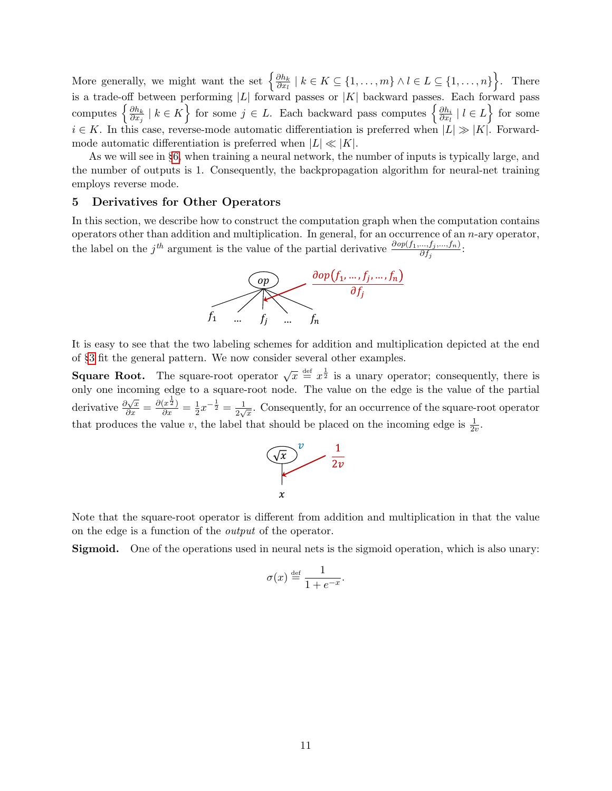More generally, we might want the set  $\{\frac{\partial h_k}{\partial x_i}$  $\frac{\partial h_k}{\partial x_l} \mid k \in K \subseteq \{1, \ldots, m\} \wedge l \in L \subseteq \{1, \ldots, n\}$ . There is a trade-off between performing |L| forward passes or |K| backward passes. Each forward pass computes  $\left\{\frac{\partial h_k}{\partial x_i}\right\}$  $\left\{\frac{\partial h_k}{\partial x_j} \mid k \in K\right\}$  for some  $j \in L$ . Each backward pass computes  $\left\{\frac{\partial h_i}{\partial x_l}\right\}$  $\frac{\partial h_i}{\partial x_l} \mid l \in L$  for some  $i \in K$ . In this case, reverse-mode automatic differentiation is preferred when  $|L| \gg |K|$ . Forwardmode automatic differentiation is preferred when  $|L| \ll |K|$ .

As we will see in §[6,](#page-11-0) when training a neural network, the number of inputs is typically large, and the number of outputs is 1. Consequently, the backpropagation algorithm for neural-net training employs reverse mode.

## <span id="page-10-0"></span>5 Derivatives for Other Operators

In this section, we describe how to construct the computation graph when the computation contains operators other than addition and multiplication. In general, for an occurrence of an  $n$ -ary operator, the label on the j<sup>th</sup> argument is the value of the partial derivative  $\frac{\partial op(f_1,...,f_j,...,f_n)}{\partial f_j}$ :



It is easy to see that the two labeling schemes for addition and multiplication depicted at the end of §[3](#page-5-0) fit the general pattern. We now consider several other examples.

**Square Root.** The square-root operator  $\sqrt{x} \stackrel{\text{def}}{=} x^{\frac{1}{2}}$  is a unary operator; consequently, there is only one incoming edge to a square-root node. The value on the edge is the value of the partial derivative  $\frac{\partial \sqrt{x}}{\partial x} = \frac{\partial (x^{\frac{1}{2}})}{\partial x} = \frac{1}{2}$  $\frac{1}{2}x^{-\frac{1}{2}} = \frac{1}{2\sqrt{2}}$  $\frac{1}{2\sqrt{x}}$ . Consequently, for an occurrence of the square-root operator that produces the value v, the label that should be placed on the incoming edge is  $\frac{1}{2v}$ .



Note that the square-root operator is different from addition and multiplication in that the value on the edge is a function of the output of the operator.

Sigmoid. One of the operations used in neural nets is the sigmoid operation, which is also unary:

$$
\sigma(x) \stackrel{\text{def}}{=} \frac{1}{1 + e^{-x}}.
$$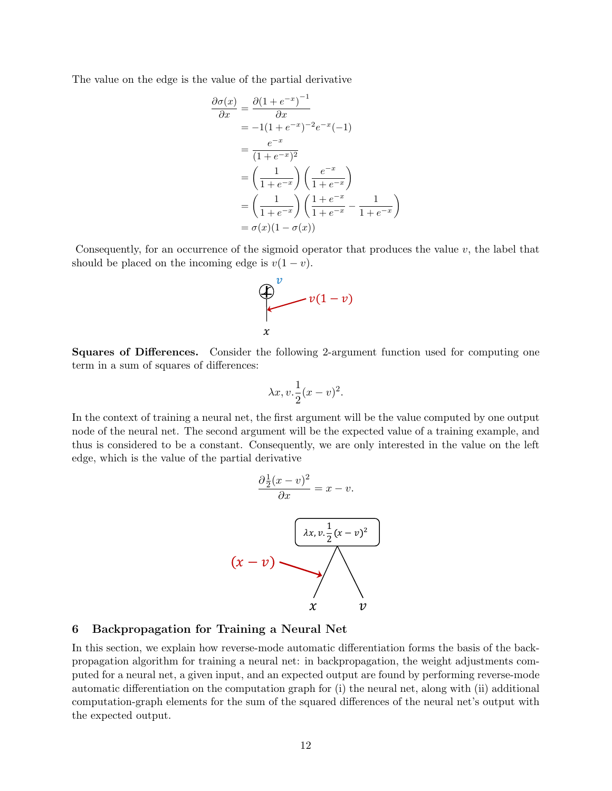The value on the edge is the value of the partial derivative

$$
\frac{\partial \sigma(x)}{\partial x} = \frac{\partial (1 + e^{-x})^{-1}}{\partial x}
$$
  
\n
$$
= -1(1 + e^{-x})^{-2}e^{-x}(-1)
$$
  
\n
$$
= \frac{e^{-x}}{(1 + e^{-x})^2}
$$
  
\n
$$
= \left(\frac{1}{1 + e^{-x}}\right) \left(\frac{e^{-x}}{1 + e^{-x}}\right)
$$
  
\n
$$
= \left(\frac{1}{1 + e^{-x}}\right) \left(\frac{1 + e^{-x}}{1 + e^{-x}} - \frac{1}{1 + e^{-x}}\right)
$$
  
\n
$$
= \sigma(x)(1 - \sigma(x))
$$

Consequently, for an occurrence of the sigmoid operator that produces the value  $v$ , the label that should be placed on the incoming edge is  $v(1-v)$ .



Squares of Differences. Consider the following 2-argument function used for computing one term in a sum of squares of differences:

$$
\lambda x, v. \frac{1}{2}(x - v)^2.
$$

In the context of training a neural net, the first argument will be the value computed by one output node of the neural net. The second argument will be the expected value of a training example, and thus is considered to be a constant. Consequently, we are only interested in the value on the left edge, which is the value of the partial derivative



#### <span id="page-11-0"></span>6 Backpropagation for Training a Neural Net

In this section, we explain how reverse-mode automatic differentiation forms the basis of the backpropagation algorithm for training a neural net: in backpropagation, the weight adjustments computed for a neural net, a given input, and an expected output are found by performing reverse-mode automatic differentiation on the computation graph for (i) the neural net, along with (ii) additional computation-graph elements for the sum of the squared differences of the neural net's output with the expected output.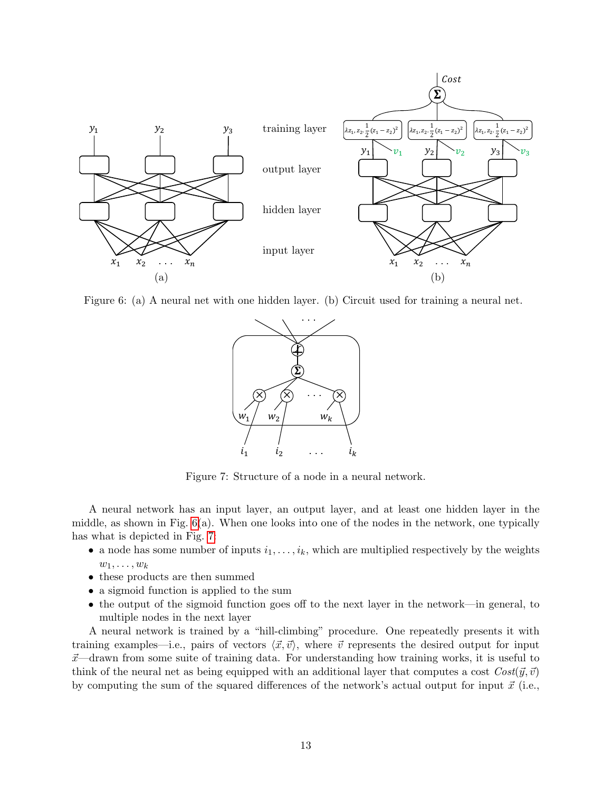

<span id="page-12-0"></span>Figure 6: (a) A neural net with one hidden layer. (b) Circuit used for training a neural net.



<span id="page-12-1"></span>Figure 7: Structure of a node in a neural network.

A neural network has an input layer, an output layer, and at least one hidden layer in the middle, as shown in Fig.  $6(a)$ . When one looks into one of the nodes in the network, one typically has what is depicted in Fig. [7:](#page-12-1)

- a node has some number of inputs  $i_1, \ldots, i_k$ , which are multiplied respectively by the weights  $w_1, \ldots, w_k$
- these products are then summed
- a sigmoid function is applied to the sum
- the output of the sigmoid function goes off to the next layer in the network—in general, to multiple nodes in the next layer

A neural network is trained by a "hill-climbing" procedure. One repeatedly presents it with training examples—i.e., pairs of vectors  $\langle \vec{x}, \vec{v} \rangle$ , where  $\vec{v}$  represents the desired output for input  $\vec{x}$ —drawn from some suite of training data. For understanding how training works, it is useful to think of the neural net as being equipped with an additional layer that computes a cost  $Cost(\vec{y}, \vec{v})$ by computing the sum of the squared differences of the network's actual output for input  $\vec{x}$  (i.e.,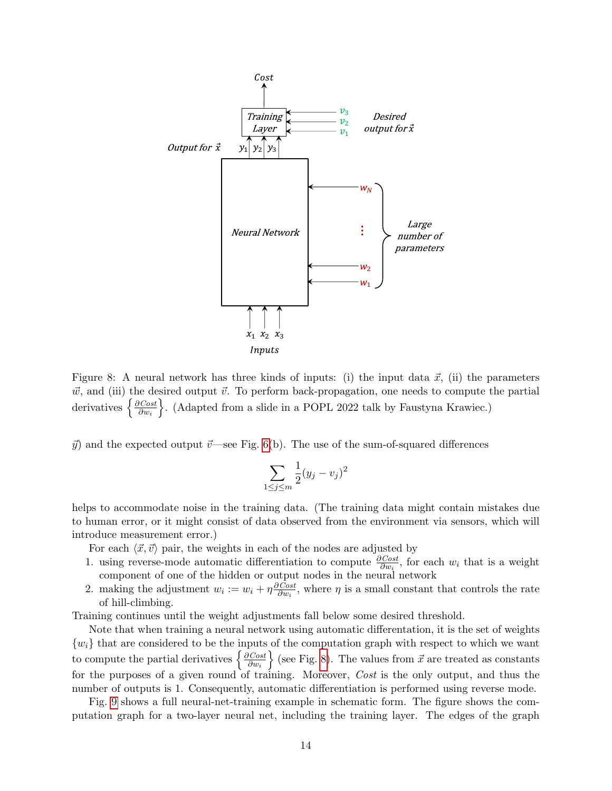

<span id="page-13-0"></span>Figure 8: A neural network has three kinds of inputs: (i) the input data  $\vec{x}$ , (ii) the parameters  $\vec{w}$ , and (iii) the desired output  $\vec{v}$ . To perform back-propagation, one needs to compute the partial derivatives  $\left\{\frac{\partial Cost}{\partial w}\right\}$  $\partial w_i$ o . (Adapted from a slide in a POPL 2022 talk by Faustyna Krawiec.)

 $\vec{y}$  and the expected output  $\vec{v}$ —see Fig. [6\(](#page-12-0)b). The use of the sum-of-squared differences

$$
\sum_{1 \le j \le m} \frac{1}{2} (y_j - v_j)^2
$$

helps to accommodate noise in the training data. (The training data might contain mistakes due to human error, or it might consist of data observed from the environment via sensors, which will introduce measurement error.)

For each  $\langle \vec{x}, \vec{v} \rangle$  pair, the weights in each of the nodes are adjusted by

- 1. using reverse-mode automatic differentiation to compute  $\frac{\partial Cost}{\partial w_i}$ , for each  $w_i$  that is a weight component of one of the hidden or output nodes in the neural network
- 2. making the adjustment  $w_i := w_i + \eta \frac{\partial Cost}{\partial w_i}$  $\frac{N\text{Cost}}{\partial w_i}$ , where  $\eta$  is a small constant that controls the rate of hill-climbing.

Training continues until the weight adjustments fall below some desired threshold.

Note that when training a neural network using automatic differentation, it is the set of weights  ${w_i}$  that are considered to be the inputs of the computation graph with respect to which we want to compute the partial derivatives  $\frac{\partial Cost}{\partial w}$  $\partial w_i$  $\{$  (see Fig. [8\)](#page-13-0). The values from  $\vec{x}$  are treated as constants for the purposes of a given round of training. Moreover, Cost is the only output, and thus the number of outputs is 1. Consequently, automatic differentiation is performed using reverse mode.

Fig. [9](#page-14-0) shows a full neural-net-training example in schematic form. The figure shows the computation graph for a two-layer neural net, including the training layer. The edges of the graph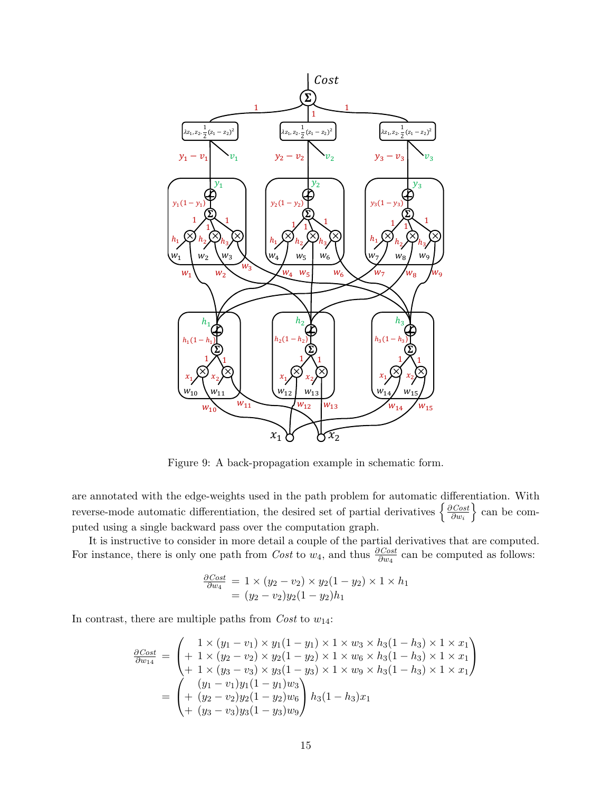

<span id="page-14-0"></span>Figure 9: A back-propagation example in schematic form.

are annotated with the edge-weights used in the path problem for automatic differentiation. With reverse-mode automatic differentiation, the desired set of partial derivatives  $\frac{\partial Cost}{\partial w}$  $\partial w_i$  $\}$  can be computed using a single backward pass over the computation graph.

It is instructive to consider in more detail a couple of the partial derivatives that are computed. For instance, there is only one path from *Cost* to  $w_4$ , and thus  $\frac{\partial Cost}{\partial w_4}$  can be computed as follows:

$$
\frac{\partial \text{Cost}}{\partial w_4} = 1 \times (y_2 - v_2) \times y_2(1 - y_2) \times 1 \times h_1
$$
  
=  $(y_2 - v_2)y_2(1 - y_2)h_1$ 

In contrast, there are multiple paths from  $Cost$  to  $w_{14}$ :

$$
\frac{\partial Cost}{\partial w_{14}} = \begin{pmatrix} 1 \times (y_1 - v_1) \times y_1(1 - y_1) \times 1 \times w_3 \times h_3(1 - h_3) \times 1 \times x_1 \\ + 1 \times (y_2 - v_2) \times y_2(1 - y_2) \times 1 \times w_6 \times h_3(1 - h_3) \times 1 \times x_1 \\ + 1 \times (y_3 - v_3) \times y_3(1 - y_3) \times 1 \times w_9 \times h_3(1 - h_3) \times 1 \times x_1 \end{pmatrix}
$$
  
= 
$$
\begin{pmatrix} (y_1 - v_1)y_1(1 - y_1)w_3 \\ + (y_2 - v_2)y_2(1 - y_2)w_6 \\ + (y_3 - v_3)y_3(1 - y_3)w_9 \end{pmatrix} h_3(1 - h_3)x_1
$$